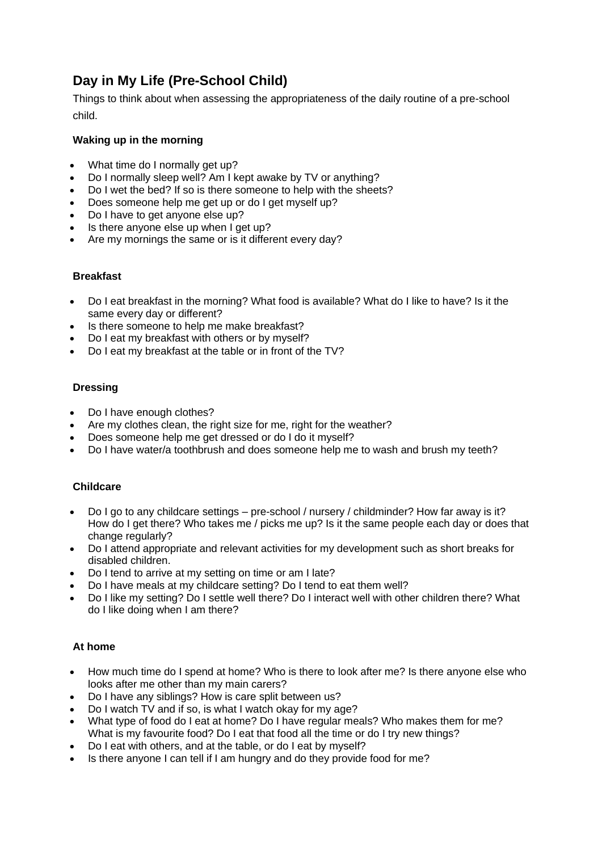# **Day in My Life (Pre-School Child)**

Things to think about when assessing the appropriateness of the daily routine of a pre-school child.

### **Waking up in the morning**

- What time do I normally get up?
- Do I normally sleep well? Am I kept awake by TV or anything?
- Do I wet the bed? If so is there someone to help with the sheets?
- Does someone help me get up or do I get myself up?
- Do I have to get anyone else up?
- Is there anyone else up when I get up?
- Are my mornings the same or is it different every day?

#### **Breakfast**

- Do I eat breakfast in the morning? What food is available? What do I like to have? Is it the same every day or different?
- Is there someone to help me make breakfast?
- Do I eat my breakfast with others or by myself?
- Do I eat my breakfast at the table or in front of the TV?

#### **Dressing**

- Do I have enough clothes?
- Are my clothes clean, the right size for me, right for the weather?
- Does someone help me get dressed or do I do it myself?
- Do I have water/a toothbrush and does someone help me to wash and brush my teeth?

#### **Childcare**

- Do I go to any childcare settings pre-school / nursery / childminder? How far away is it? How do I get there? Who takes me / picks me up? Is it the same people each day or does that change regularly?
- Do I attend appropriate and relevant activities for my development such as short breaks for disabled children.
- Do I tend to arrive at my setting on time or am I late?
- Do I have meals at my childcare setting? Do I tend to eat them well?
- Do I like my setting? Do I settle well there? Do I interact well with other children there? What do I like doing when I am there?

#### **At home**

- How much time do I spend at home? Who is there to look after me? Is there anyone else who looks after me other than my main carers?
- Do I have any siblings? How is care split between us?
- Do I watch TV and if so, is what I watch okay for my age?
- What type of food do I eat at home? Do I have regular meals? Who makes them for me? What is my favourite food? Do I eat that food all the time or do I try new things?
- Do I eat with others, and at the table, or do I eat by myself?
- Is there anyone I can tell if I am hungry and do they provide food for me?